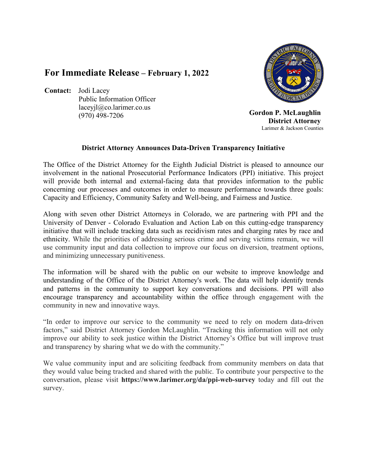## **For Immediate Release – February 1, 2022**

**Contact:** Jodi Lacey Public Information Officer laceyjl@co.larimer.co.us (970) 498-7206



 **Gordon P. McLaughlin District Attorney**Larimer & Jackson Counties

## **District Attorney Announces Data-Driven Transparency Initiative**

The Office of the District Attorney for the Eighth Judicial District is pleased to announce our involvement in the national Prosecutorial Performance Indicators (PPI) initiative. This project will provide both internal and external-facing data that provides information to the public concerning our processes and outcomes in order to measure performance towards three goals: Capacity and Efficiency, Community Safety and Well-being, and Fairness and Justice.

Along with seven other District Attorneys in Colorado, we are partnering with PPI and the University of Denver - Colorado Evaluation and Action Lab on this cutting-edge transparency initiative that will include tracking data such as recidivism rates and charging rates by race and ethnicity. While the priorities of addressing serious crime and serving victims remain, we will use community input and data collection to improve our focus on diversion, treatment options, and minimizing unnecessary punitiveness.

The information will be shared with the public on our website to improve knowledge and understanding of the Office of the District Attorney's work. The data will help identify trends and patterns in the community to support key conversations and decisions. PPI will also encourage transparency and accountability within the office through engagement with the community in new and innovative ways.

"In order to improve our service to the community we need to rely on modern data-driven factors," said District Attorney Gordon McLaughlin. "Tracking this information will not only improve our ability to seek justice within the District Attorney's Office but will improve trust and transparency by sharing what we do with the community."

We value community input and are soliciting feedback from community members on data that they would value being tracked and shared with the public. To contribute your perspective to the conversation, please visit **https://www.larimer.org/da/ppi-web-survey** today and fill out the survey.